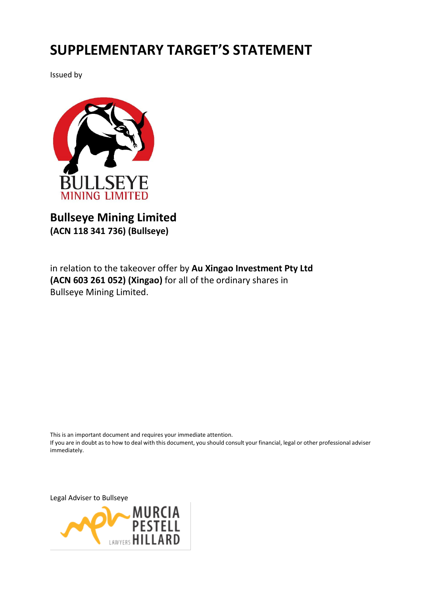# **SUPPLEMENTARY TARGET'S STATEMENT**

Issued by



# **Bullseye Mining Limited (ACN 118 341 736) (Bullseye)**

in relation to the takeover offer by **Au Xingao Investment Pty Ltd (ACN 603 261 052) (Xingao)** for all of the ordinary shares in Bullseye Mining Limited.

This is an important document and requires your immediate attention. If you are in doubt as to how to deal with this document, you should consult your financial, legal or other professional adviser immediately.

Legal Adviser to Bullseye

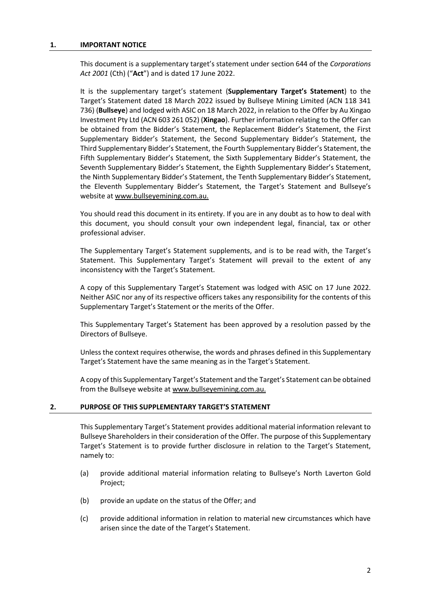#### **1. IMPORTANT NOTICE**

This document is a supplementary target's statement under section 644 of the *Corporations Act 2001* (Cth) ("**Act**") and is dated 17 June 2022.

It is the supplementary target's statement (**Supplementary Target's Statement**) to the Target's Statement dated 18 March 2022 issued by Bullseye Mining Limited (ACN 118 341 736) (**Bullseye**) and lodged with ASIC on 18 March 2022, in relation to the Offer by Au Xingao Investment Pty Ltd (ACN 603 261 052) (**Xingao**). Further information relating to the Offer can be obtained from the Bidder's Statement, the Replacement Bidder's Statement, the First Supplementary Bidder's Statement, the Second Supplementary Bidder's Statement, the Third Supplementary Bidder's Statement, the Fourth Supplementary Bidder's Statement, the Fifth Supplementary Bidder's Statement, the Sixth Supplementary Bidder's Statement, the Seventh Supplementary Bidder's Statement, the Eighth Supplementary Bidder's Statement, the Ninth Supplementary Bidder's Statement, the Tenth Supplementary Bidder's Statement, the Eleventh Supplementary Bidder's Statement, the Target's Statement and Bullseye's website a[t www.bullseyemining.com.au.](http://www.bullseyemining.com.au/)

You should read this document in its entirety. If you are in any doubt as to how to deal with this document, you should consult your own independent legal, financial, tax or other professional adviser.

The Supplementary Target's Statement supplements, and is to be read with, the Target's Statement. This Supplementary Target's Statement will prevail to the extent of any inconsistency with the Target's Statement.

A copy of this Supplementary Target's Statement was lodged with ASIC on 17 June 2022. Neither ASIC nor any of its respective officers takes any responsibility for the contents of this Supplementary Target's Statement or the merits of the Offer.

This Supplementary Target's Statement has been approved by a resolution passed by the Directors of Bullseye.

Unless the context requires otherwise, the words and phrases defined in this Supplementary Target's Statement have the same meaning as in the Target's Statement.

A copy of this Supplementary Target's Statement and the Target's Statement can be obtained from the Bullseye website a[t www.bullseyemining.com.au.](http://www.bullseyemining.com.au/)

## **2. PURPOSE OF THIS SUPPLEMENTARY TARGET'S STATEMENT**

This Supplementary Target's Statement provides additional material information relevant to Bullseye Shareholders in their consideration of the Offer. The purpose of this Supplementary Target's Statement is to provide further disclosure in relation to the Target's Statement, namely to:

- (a) provide additional material information relating to Bullseye's North Laverton Gold Project;
- (b) provide an update on the status of the Offer; and
- (c) provide additional information in relation to material new circumstances which have arisen since the date of the Target's Statement.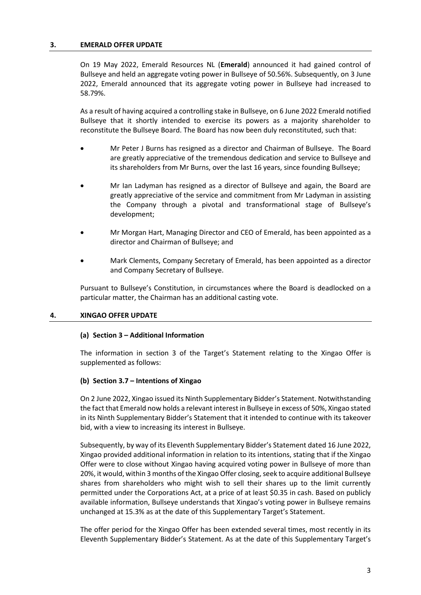#### **3. EMERALD OFFER UPDATE**

On 19 May 2022, Emerald Resources NL (**Emerald**) announced it had gained control of Bullseye and held an aggregate voting power in Bullseye of 50.56%. Subsequently, on 3 June 2022, Emerald announced that its aggregate voting power in Bullseye had increased to 58.79%.

As a result of having acquired a controlling stake in Bullseye, on 6 June 2022 Emerald notified Bullseye that it shortly intended to exercise its powers as a majority shareholder to reconstitute the Bullseye Board. The Board has now been duly reconstituted, such that:

- Mr Peter J Burns has resigned as a director and Chairman of Bullseye. The Board are greatly appreciative of the tremendous dedication and service to Bullseye and its shareholders from Mr Burns, over the last 16 years, since founding Bullseye;
- Mr Ian Ladyman has resigned as a director of Bullseye and again, the Board are greatly appreciative of the service and commitment from Mr Ladyman in assisting the Company through a pivotal and transformational stage of Bullseye's development;
- Mr Morgan Hart, Managing Director and CEO of Emerald, has been appointed as a director and Chairman of Bullseye; and
- Mark Clements, Company Secretary of Emerald, has been appointed as a director and Company Secretary of Bullseye.

Pursuant to Bullseye's Constitution, in circumstances where the Board is deadlocked on a particular matter, the Chairman has an additional casting vote.

#### **4. XINGAO OFFER UPDATE**

#### **(a) Section 3 – Additional Information**

The information in section 3 of the Target's Statement relating to the Xingao Offer is supplemented as follows:

#### **(b) Section 3.7 – Intentions of Xingao**

On 2 June 2022, Xingao issued its Ninth Supplementary Bidder's Statement. Notwithstanding the fact that Emerald now holds a relevant interest in Bullseye in excess of 50%, Xingao stated in its Ninth Supplementary Bidder's Statement that it intended to continue with its takeover bid, with a view to increasing its interest in Bullseye.

Subsequently, by way of its Eleventh Supplementary Bidder's Statement dated 16 June 2022, Xingao provided additional information in relation to its intentions, stating that if the Xingao Offer were to close without Xingao having acquired voting power in Bullseye of more than 20%, it would, within 3 months of the Xingao Offer closing, seek to acquire additional Bullseye shares from shareholders who might wish to sell their shares up to the limit currently permitted under the Corporations Act, at a price of at least \$0.35 in cash. Based on publicly available information, Bullseye understands that Xingao's voting power in Bullseye remains unchanged at 15.3% as at the date of this Supplementary Target's Statement.

The offer period for the Xingao Offer has been extended several times, most recently in its Eleventh Supplementary Bidder's Statement. As at the date of this Supplementary Target's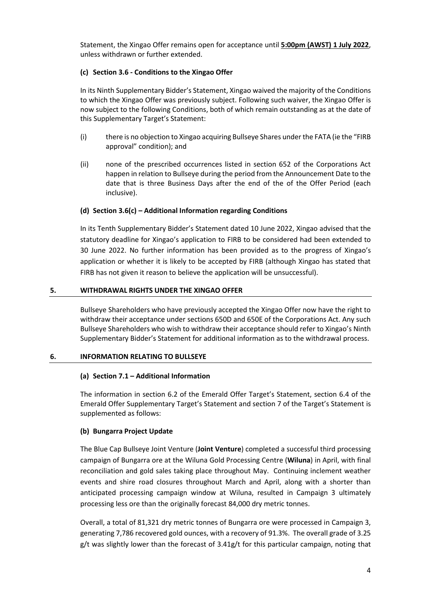Statement, the Xingao Offer remains open for acceptance until **5:00pm (AWST) 1 July 2022**, unless withdrawn or further extended.

# **(c) Section 3.6 - Conditions to the Xingao Offer**

In its Ninth Supplementary Bidder's Statement, Xingao waived the majority of the Conditions to which the Xingao Offer was previously subject. Following such waiver, the Xingao Offer is now subject to the following Conditions, both of which remain outstanding as at the date of this Supplementary Target's Statement:

- (i) there is no objection to Xingao acquiring Bullseye Shares under the FATA (ie the "FIRB approval" condition); and
- (ii) none of the prescribed occurrences listed in section 652 of the Corporations Act happen in relation to Bullseye during the period from the Announcement Date to the date that is three Business Days after the end of the of the Offer Period (each inclusive).

# **(d) Section 3.6(c) – Additional Information regarding Conditions**

In its Tenth Supplementary Bidder's Statement dated 10 June 2022, Xingao advised that the statutory deadline for Xingao's application to FIRB to be considered had been extended to 30 June 2022. No further information has been provided as to the progress of Xingao's application or whether it is likely to be accepted by FIRB (although Xingao has stated that FIRB has not given it reason to believe the application will be unsuccessful).

## **5. WITHDRAWAL RIGHTS UNDER THE XINGAO OFFER**

Bullseye Shareholders who have previously accepted the Xingao Offer now have the right to withdraw their acceptance under sections 650D and 650E of the Corporations Act. Any such Bullseye Shareholders who wish to withdraw their acceptance should refer to Xingao's Ninth Supplementary Bidder's Statement for additional information as to the withdrawal process.

# **6. INFORMATION RELATING TO BULLSEYE**

# **(a) Section 7.1 – Additional Information**

The information in section 6.2 of the Emerald Offer Target's Statement, section 6.4 of the Emerald Offer Supplementary Target's Statement and section 7 of the Target's Statement is supplemented as follows:

# **(b) Bungarra Project Update**

The Blue Cap Bullseye Joint Venture (**Joint Venture**) completed a successful third processing campaign of Bungarra ore at the Wiluna Gold Processing Centre (**Wiluna**) in April, with final reconciliation and gold sales taking place throughout May. Continuing inclement weather events and shire road closures throughout March and April, along with a shorter than anticipated processing campaign window at Wiluna, resulted in Campaign 3 ultimately processing less ore than the originally forecast 84,000 dry metric tonnes.

Overall, a total of 81,321 dry metric tonnes of Bungarra ore were processed in Campaign 3, generating 7,786 recovered gold ounces, with a recovery of 91.3%. The overall grade of 3.25 g/t was slightly lower than the forecast of 3.41g/t for this particular campaign, noting that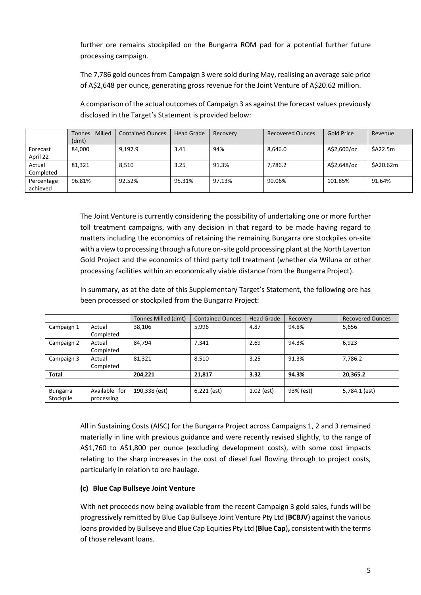further ore remains stockpiled on the Bungarra ROM pad for a potential further future processing campaign.

The 7,786 gold ounces from Campaign 3 were sold during May, realising an average sale price of A\$2,648 per ounce, generating gross revenue for the Joint Venture of A\$20.62 million.

A comparison of the actual outcomes of Campaign 3 as against the forecast values previously disclosed in the Target's Statement is provided below:

|                        | Milled<br><b>Tonnes</b><br>(dmt) | <b>Contained Ounces</b> | Head Grade | Recovery | <b>Recovered Ounces</b> | Gold Price  | Revenue   |
|------------------------|----------------------------------|-------------------------|------------|----------|-------------------------|-------------|-----------|
| Forecast<br>April 22   | 84,000                           | 9.197.9                 | 3.41       | 94%      | 8.646.0                 | A\$2,600/oz | \$A22.5m  |
| Actual<br>Completed    | 81,321                           | 8,510                   | 3.25       | 91.3%    | 7,786.2                 | A\$2,648/oz | \$A20.62m |
| Percentage<br>achieved | 96.81%                           | 92.52%                  | 95.31%     | 97.13%   | 90.06%                  | 101.85%     | 91.64%    |

The Joint Venture is currently considering the possibility of undertaking one or more further toll treatment campaigns, with any decision in that regard to be made having regard to matters including the economics of retaining the remaining Bungarra ore stockpiles on-site with a view to processing through a future on-site gold processing plant at the North Laverton Gold Project and the economics of third party toll treatment (whether via Wiluna or other processing facilities within an economically viable distance from the Bungarra Project).

In summary, as at the date of this Supplementary Target's Statement, the following ore has been processed or stockpiled from the Bungarra Project:

|              |               | Tonnes Milled (dmt) | <b>Contained Ounces</b> | <b>Head Grade</b> | Recovery  | <b>Recovered Ounces</b> |
|--------------|---------------|---------------------|-------------------------|-------------------|-----------|-------------------------|
| Campaign 1   | Actual        | 38,106              | 5,996                   | 4.87              | 94.8%     | 5,656                   |
|              | Completed     |                     |                         |                   |           |                         |
| Campaign 2   | Actual        | 84,794              | 7,341                   | 2.69              | 94.3%     | 6,923                   |
|              | Completed     |                     |                         |                   |           |                         |
| Campaign 3   | Actual        | 81,321              | 8,510                   | 3.25              | 91.3%     | 7,786.2                 |
|              | Completed     |                     |                         |                   |           |                         |
| <b>Total</b> |               | 204,221             | 21,817                  | 3.32              | 94.3%     | 20,365.2                |
|              |               |                     |                         |                   |           |                         |
| Bungarra     | Available for | 190,338 (est)       | $6,221$ (est)           | $1.02$ (est)      | 93% (est) | 5,784.1 (est)           |
| Stockpile    | processing    |                     |                         |                   |           |                         |

All in Sustaining Costs (AISC) for the Bungarra Project across Campaigns 1, 2 and 3 remained materially in line with previous guidance and were recently revised slightly, to the range of A\$1,760 to A\$1,800 per ounce (excluding development costs), with some cost impacts relating to the sharp increases in the cost of diesel fuel flowing through to project costs, particularly in relation to ore haulage.

# **(c) Blue Cap Bullseye Joint Venture**

With net proceeds now being available from the recent Campaign 3 gold sales, funds will be progressively remitted by Blue Cap Bullseye Joint Venture Pty Ltd (**BCBJV**) against the various loans provided by Bullseye and Blue Cap Equities Pty Ltd (**Blue Cap**)**,** consistent with the terms of those relevant loans.